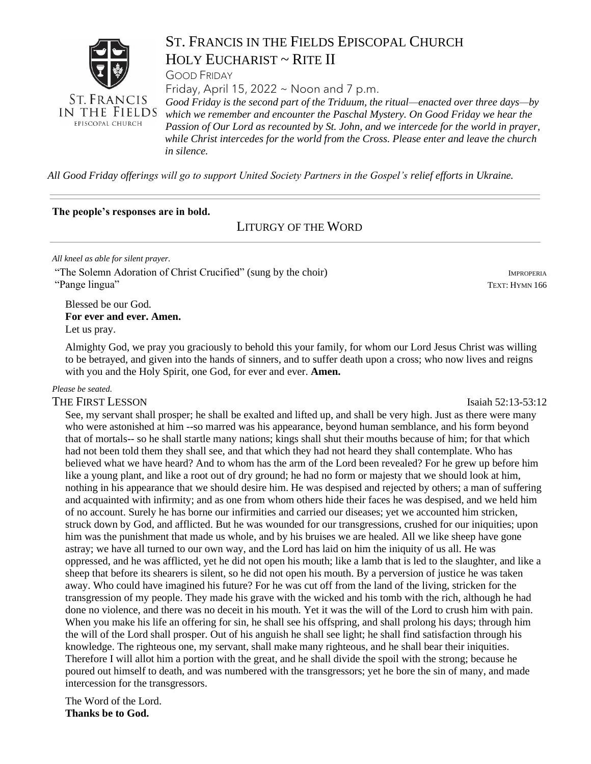

# ST. FRANCIS IN THE FIELDS EPISCOPAL CHURCH HOLY EUCHARIST ~ RITE II

GOOD FRIDAY

Friday, April 15, 2022  $\sim$  Noon and 7 p.m.

*Good Friday is the second part of the Triduum, the ritual—enacted over three days—by which we remember and encounter the Paschal Mystery. On Good Friday we hear the Passion of Our Lord as recounted by St. John, and we intercede for the world in prayer, while Christ intercedes for the world from the Cross. Please enter and leave the church in silence.*

*All Good Friday offerings will go to support United Society Partners in the Gospel's relief efforts in Ukraine.*

#### **The people's responses are in bold.**

# LITURGY OF THE WORD

#### *All kneel as able for silent prayer.*

"The Solemn Adoration of Christ Crucified" (sung by the choir) IMPROPERIA "Pange lingua" TEXT: HYMN 166

Blessed be our God. **For ever and ever. Amen.** Let us pray.

Almighty God, we pray you graciously to behold this your family, for whom our Lord Jesus Christ was willing to be betrayed, and given into the hands of sinners, and to suffer death upon a cross; who now lives and reigns with you and the Holy Spirit, one God, for ever and ever. **Amen.**

#### *Please be seated.*

#### THE FIRST LESSON Isaiah 52:13-53:12

See, my servant shall prosper; he shall be exalted and lifted up, and shall be very high. Just as there were many who were astonished at him --so marred was his appearance, beyond human semblance, and his form beyond that of mortals-- so he shall startle many nations; kings shall shut their mouths because of him; for that which had not been told them they shall see, and that which they had not heard they shall contemplate. Who has believed what we have heard? And to whom has the arm of the Lord been revealed? For he grew up before him like a young plant, and like a root out of dry ground; he had no form or majesty that we should look at him, nothing in his appearance that we should desire him. He was despised and rejected by others; a man of suffering and acquainted with infirmity; and as one from whom others hide their faces he was despised, and we held him of no account. Surely he has borne our infirmities and carried our diseases; yet we accounted him stricken, struck down by God, and afflicted. But he was wounded for our transgressions, crushed for our iniquities; upon him was the punishment that made us whole, and by his bruises we are healed. All we like sheep have gone astray; we have all turned to our own way, and the Lord has laid on him the iniquity of us all. He was oppressed, and he was afflicted, yet he did not open his mouth; like a lamb that is led to the slaughter, and like a sheep that before its shearers is silent, so he did not open his mouth. By a perversion of justice he was taken away. Who could have imagined his future? For he was cut off from the land of the living, stricken for the transgression of my people. They made his grave with the wicked and his tomb with the rich, although he had done no violence, and there was no deceit in his mouth. Yet it was the will of the Lord to crush him with pain. When you make his life an offering for sin, he shall see his offspring, and shall prolong his days; through him the will of the Lord shall prosper. Out of his anguish he shall see light; he shall find satisfaction through his knowledge. The righteous one, my servant, shall make many righteous, and he shall bear their iniquities. Therefore I will allot him a portion with the great, and he shall divide the spoil with the strong; because he poured out himself to death, and was numbered with the transgressors; yet he bore the sin of many, and made intercession for the transgressors.

The Word of the Lord. **Thanks be to God.**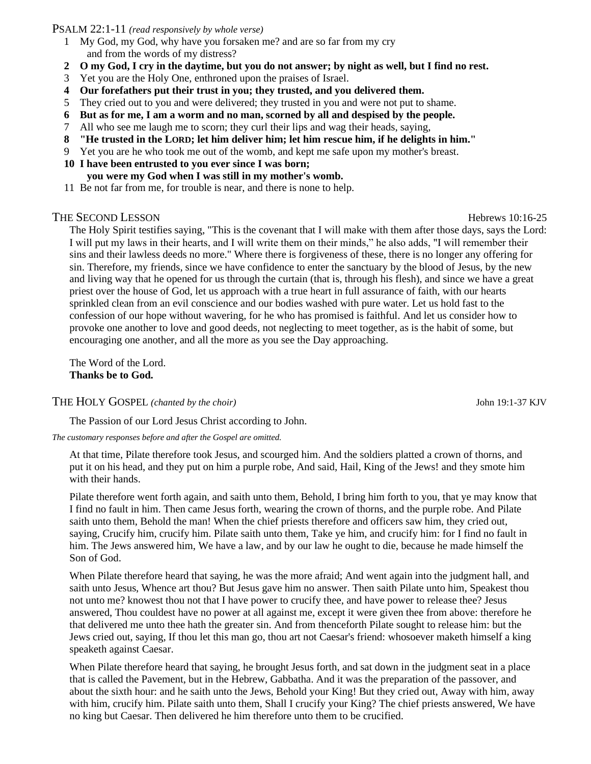PSALM 22:1-11 *(read responsively by whole verse)*

- 1 My God, my God, why have you forsaken me? and are so far from my cry and from the words of my distress?
- **2 O my God, I cry in the daytime, but you do not answer; by night as well, but I find no rest.**
- 3 Yet you are the Holy One, enthroned upon the praises of Israel.
- **4 Our forefathers put their trust in you; they trusted, and you delivered them.**
- 5 They cried out to you and were delivered; they trusted in you and were not put to shame.
- **6 But as for me, I am a worm and no man, scorned by all and despised by the people.**
- 7 All who see me laugh me to scorn; they curl their lips and wag their heads, saying,
- **8 "He trusted in the LORD; let him deliver him; let him rescue him, if he delights in him."**
- 9 Yet you are he who took me out of the womb, and kept me safe upon my mother's breast.
- **10 I have been entrusted to you ever since I was born; you were my God when I was still in my mother's womb.**
- 11 Be not far from me, for trouble is near, and there is none to help.

#### THE SECOND LESSON FOR THE SECOND LESSON FOR THE SECOND LESSON FOR THE SECOND LESSON FOR THE SECOND LESSON FOR THE SECOND LESSON FOR THE SECOND LESSON FOR THE SECOND LESSON FOR THE SECOND LESSON FOR THE SECOND LESSON FOR TH

The Holy Spirit testifies saying, "This is the covenant that I will make with them after those days, says the Lord: I will put my laws in their hearts, and I will write them on their minds," he also adds, "I will remember their sins and their lawless deeds no more." Where there is forgiveness of these, there is no longer any offering for sin. Therefore, my friends, since we have confidence to enter the sanctuary by the blood of Jesus, by the new and living way that he opened for us through the curtain (that is, through his flesh), and since we have a great priest over the house of God, let us approach with a true heart in full assurance of faith, with our hearts sprinkled clean from an evil conscience and our bodies washed with pure water. Let us hold fast to the confession of our hope without wavering, for he who has promised is faithful. And let us consider how to provoke one another to love and good deeds, not neglecting to meet together, as is the habit of some, but encouraging one another, and all the more as you see the Day approaching.

The Word of the Lord. **Thanks be to God.**

THE HOLY GOSPEL *(chanted by the choir)* John 19:1-37 KJV

The Passion of our Lord Jesus Christ according to John.

*The customary responses before and after the Gospel are omitted.*

At that time, Pilate therefore took Jesus, and scourged him. And the soldiers platted a crown of thorns, and put it on his head, and they put on him a purple robe, And said, Hail, King of the Jews! and they smote him with their hands.

Pilate therefore went forth again, and saith unto them, Behold, I bring him forth to you, that ye may know that I find no fault in him. Then came Jesus forth, wearing the crown of thorns, and the purple robe. And Pilate saith unto them, Behold the man! When the chief priests therefore and officers saw him, they cried out, saying, Crucify him, crucify him. Pilate saith unto them, Take ye him, and crucify him: for I find no fault in him. The Jews answered him, We have a law, and by our law he ought to die, because he made himself the Son of God.

When Pilate therefore heard that saying, he was the more afraid; And went again into the judgment hall, and saith unto Jesus, Whence art thou? But Jesus gave him no answer. Then saith Pilate unto him, Speakest thou not unto me? knowest thou not that I have power to crucify thee, and have power to release thee? Jesus answered, Thou couldest have no power at all against me, except it were given thee from above: therefore he that delivered me unto thee hath the greater sin. And from thenceforth Pilate sought to release him: but the Jews cried out, saying, If thou let this man go, thou art not Caesar's friend: whosoever maketh himself a king speaketh against Caesar.

When Pilate therefore heard that saying, he brought Jesus forth, and sat down in the judgment seat in a place that is called the Pavement, but in the Hebrew, Gabbatha. And it was the preparation of the passover, and about the sixth hour: and he saith unto the Jews, Behold your King! But they cried out, Away with him, away with him, crucify him. Pilate saith unto them, Shall I crucify your King? The chief priests answered, We have no king but Caesar. Then delivered he him therefore unto them to be crucified.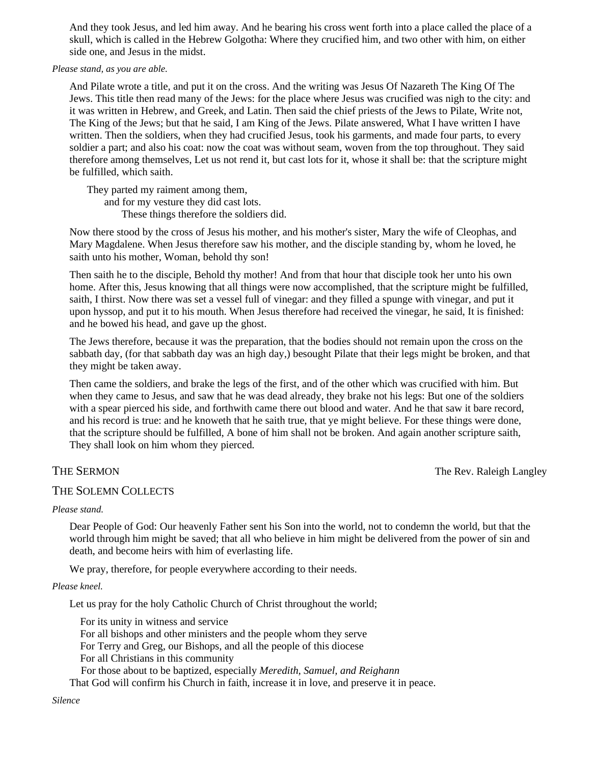And they took Jesus, and led him away. And he bearing his cross went forth into a place called the place of a skull, which is called in the Hebrew Golgotha: Where they crucified him, and two other with him, on either side one, and Jesus in the midst.

#### *Please stand, as you are able.*

And Pilate wrote a title, and put it on the cross. And the writing was Jesus Of Nazareth The King Of The Jews. This title then read many of the Jews: for the place where Jesus was crucified was nigh to the city: and it was written in Hebrew, and Greek, and Latin. Then said the chief priests of the Jews to Pilate, Write not, The King of the Jews; but that he said, I am King of the Jews. Pilate answered, What I have written I have written. Then the soldiers, when they had crucified Jesus, took his garments, and made four parts, to every soldier a part; and also his coat: now the coat was without seam, woven from the top throughout. They said therefore among themselves, Let us not rend it, but cast lots for it, whose it shall be: that the scripture might be fulfilled, which saith.

They parted my raiment among them, and for my vesture they did cast lots. These things therefore the soldiers did.

Now there stood by the cross of Jesus his mother, and his mother's sister, Mary the wife of Cleophas, and Mary Magdalene. When Jesus therefore saw his mother, and the disciple standing by, whom he loved, he saith unto his mother, Woman, behold thy son!

Then saith he to the disciple, Behold thy mother! And from that hour that disciple took her unto his own home. After this, Jesus knowing that all things were now accomplished, that the scripture might be fulfilled, saith, I thirst. Now there was set a vessel full of vinegar: and they filled a spunge with vinegar, and put it upon hyssop, and put it to his mouth. When Jesus therefore had received the vinegar, he said, It is finished: and he bowed his head, and gave up the ghost.

The Jews therefore, because it was the preparation, that the bodies should not remain upon the cross on the sabbath day, (for that sabbath day was an high day,) besought Pilate that their legs might be broken, and that they might be taken away.

Then came the soldiers, and brake the legs of the first, and of the other which was crucified with him. But when they came to Jesus, and saw that he was dead already, they brake not his legs: But one of the soldiers with a spear pierced his side, and forthwith came there out blood and water. And he that saw it bare record, and his record is true: and he knoweth that he saith true, that ye might believe. For these things were done, that the scripture should be fulfilled, A bone of him shall not be broken. And again another scripture saith, They shall look on him whom they pierced.

THE SERMON THE SERMON

#### THE SOLEMN COLLECTS

#### *Please stand.*

Dear People of God: Our heavenly Father sent his Son into the world, not to condemn the world, but that the world through him might be saved; that all who believe in him might be delivered from the power of sin and death, and become heirs with him of everlasting life.

We pray, therefore, for people everywhere according to their needs.

#### *Please kneel.*

Let us pray for the holy Catholic Church of Christ throughout the world;

For its unity in witness and service

For all bishops and other ministers and the people whom they serve

For Terry and Greg, our Bishops, and all the people of this diocese

For all Christians in this community

For those about to be baptized, especially *Meredith, Samuel, and Reighann*

That God will confirm his Church in faith, increase it in love, and preserve it in peace.

*Silence*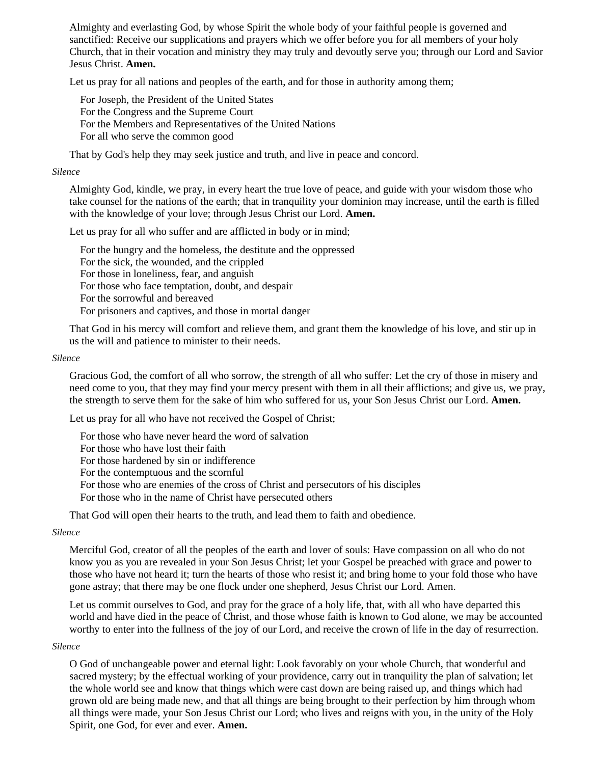Almighty and everlasting God, by whose Spirit the whole body of your faithful people is governed and sanctified: Receive our supplications and prayers which we offer before you for all members of your holy Church, that in their vocation and ministry they may truly and devoutly serve you; through our Lord and Savior Jesus Christ. **Amen.**

Let us pray for all nations and peoples of the earth, and for those in authority among them;

 For Joseph, the President of the United States For the Congress and the Supreme Court For the Members and Representatives of the United Nations For all who serve the common good

That by God's help they may seek justice and truth, and live in peace and concord.

#### *Silence*

Almighty God, kindle, we pray, in every heart the true love of peace, and guide with your wisdom those who take counsel for the nations of the earth; that in tranquility your dominion may increase, until the earth is filled with the knowledge of your love; through Jesus Christ our Lord. **Amen.**

Let us pray for all who suffer and are afflicted in body or in mind;

 For the hungry and the homeless, the destitute and the oppressed For the sick, the wounded, and the crippled For those in loneliness, fear, and anguish For those who face temptation, doubt, and despair For the sorrowful and bereaved For prisoners and captives, and those in mortal danger

That God in his mercy will comfort and relieve them, and grant them the knowledge of his love, and stir up in us the will and patience to minister to their needs.

#### *Silence*

Gracious God, the comfort of all who sorrow, the strength of all who suffer: Let the cry of those in misery and need come to you, that they may find your mercy present with them in all their afflictions; and give us, we pray, the strength to serve them for the sake of him who suffered for us, your Son Jesus Christ our Lord. **Amen.**

Let us pray for all who have not received the Gospel of Christ;

 For those who have never heard the word of salvation For those who have lost their faith For those hardened by sin or indifference For the contemptuous and the scornful For those who are enemies of the cross of Christ and persecutors of his disciples For those who in the name of Christ have persecuted others

That God will open their hearts to the truth, and lead them to faith and obedience.

#### *Silence*

Merciful God, creator of all the peoples of the earth and lover of souls: Have compassion on all who do not know you as you are revealed in your Son Jesus Christ; let your Gospel be preached with grace and power to those who have not heard it; turn the hearts of those who resist it; and bring home to your fold those who have gone astray; that there may be one flock under one shepherd, Jesus Christ our Lord. Amen.

Let us commit ourselves to God, and pray for the grace of a holy life, that, with all who have departed this world and have died in the peace of Christ, and those whose faith is known to God alone, we may be accounted worthy to enter into the fullness of the joy of our Lord, and receive the crown of life in the day of resurrection.

#### *Silence*

O God of unchangeable power and eternal light: Look favorably on your whole Church, that wonderful and sacred mystery; by the effectual working of your providence, carry out in tranquility the plan of salvation; let the whole world see and know that things which were cast down are being raised up, and things which had grown old are being made new, and that all things are being brought to their perfection by him through whom all things were made, your Son Jesus Christ our Lord; who lives and reigns with you, in the unity of the Holy Spirit, one God, for ever and ever. **Amen.**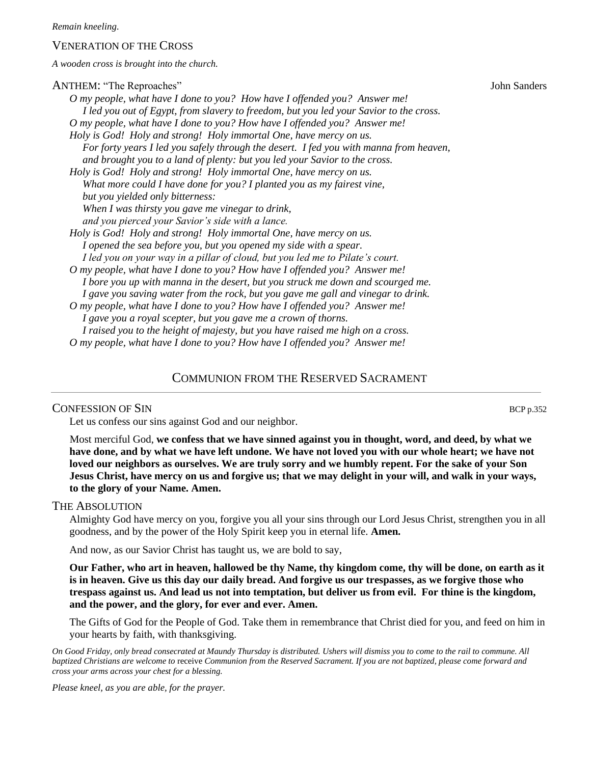#### *Remain kneeling.*

#### VENERATION OF THE CROSS

*A wooden cross is brought into the church.* 

#### ANTHEM: "The Reproaches" John Sanders

# COMMUNION FROM THE RESERVED SACRAMENT

#### CONFESSION OF SIN BCP p.352

Let us confess our sins against God and our neighbor.

Most merciful God, **we confess that we have sinned against you in thought, word, and deed, by what we have done, and by what we have left undone. We have not loved you with our whole heart; we have not loved our neighbors as ourselves. We are truly sorry and we humbly repent. For the sake of your Son Jesus Christ, have mercy on us and forgive us; that we may delight in your will, and walk in your ways, to the glory of your Name. Amen.**

#### THE ABSOLUTION

Almighty God have mercy on you, forgive you all your sins through our Lord Jesus Christ, strengthen you in all goodness, and by the power of the Holy Spirit keep you in eternal life. **Amen.**

And now, as our Savior Christ has taught us, we are bold to say,

**Our Father, who art in heaven, hallowed be thy Name, thy kingdom come, thy will be done, on earth as it is in heaven. Give us this day our daily bread. And forgive us our trespasses, as we forgive those who trespass against us. And lead us not into temptation, but deliver us from evil. For thine is the kingdom, and the power, and the glory, for ever and ever. Amen.**

The Gifts of God for the People of God. Take them in remembrance that Christ died for you, and feed on him in your hearts by faith, with thanksgiving.

*On Good Friday, only bread consecrated at Maundy Thursday is distributed. Ushers will dismiss you to come to the rail to commune. All baptized Christians are welcome to* receive *Communion from the Reserved Sacrament. If you are not baptized, please come forward and cross your arms across your chest for a blessing.*

*Please kneel, as you are able, for the prayer.*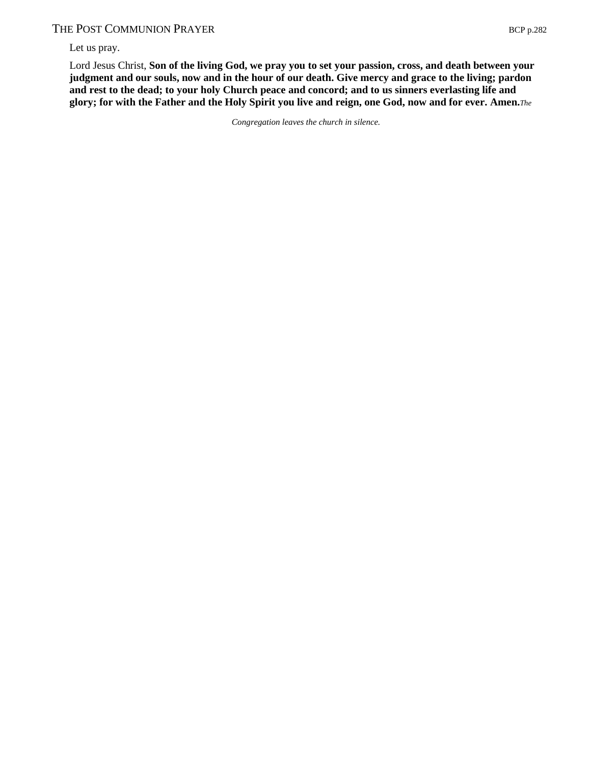Lord Jesus Christ, **Son of the living God, we pray you to set your passion, cross, and death between your judgment and our souls, now and in the hour of our death. Give mercy and grace to the living; pardon and rest to the dead; to your holy Church peace and concord; and to us sinners everlasting life and glory; for with the Father and the Holy Spirit you live and reign, one God, now and for ever. Amen.***The* 

*Congregation leaves the church in silence.*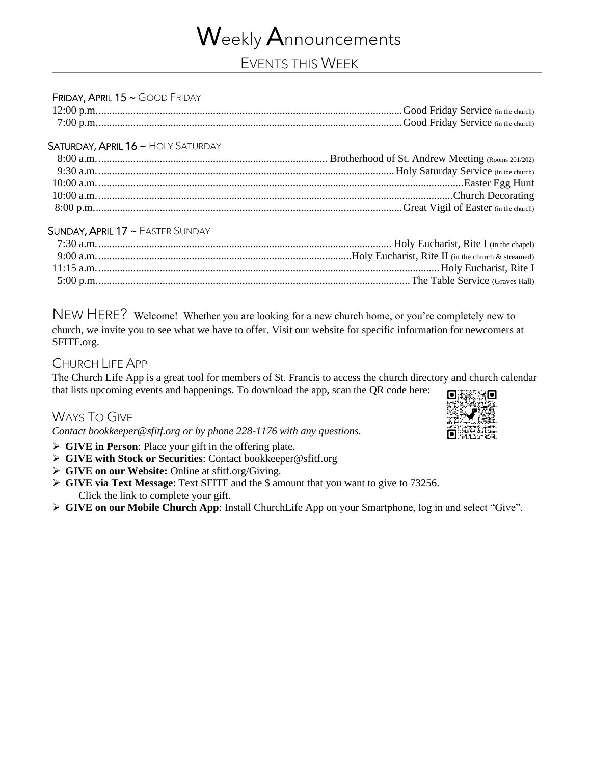# Weekly Announcements EVENTS THIS WEEK

### FRIDAY, APRIL 15 ~ GOOD FRIDAY

| $12:00$ p.m |                                     |
|-------------|-------------------------------------|
| ''()() n m  | Good Fridav Service (in the church) |

### SATURDAY, APRIL 16 ~ HOLY SATURDAY

## SUNDAY, APRIL 17 ~ EASTER SUNDAY

NEW HERE?Welcome! Whether you are looking for a new church home, or you're completely new to church, we invite you to see what we have to offer. Visit our website for specific information for newcomers at SFITF.org.

# CHURCH LIFE APP

The Church Life App is a great tool for members of St. Francis to access the church directory and church calendar that lists upcoming events and happenings. To download the app, scan the QR code here:

# WAYS TO GIVE

*Contact bookkeeper@sfitf.org or by phone 228-1176 with any questions.*

- ➢ **GIVE in Person**: Place your gift in the offering plate.
- ➢ **GIVE with Stock or Securities**: Contact bookkeeper@sfitf.org
- ➢ **GIVE on our Website:** Online at sfitf.org/Giving.
- ➢ **GIVE via Text Message**: Text SFITF and the \$ amount that you want to give to 73256. Click the link to complete your gift.
- ➢ **GIVE on our Mobile Church App**: Install ChurchLife App on your Smartphone, log in and select "Give".